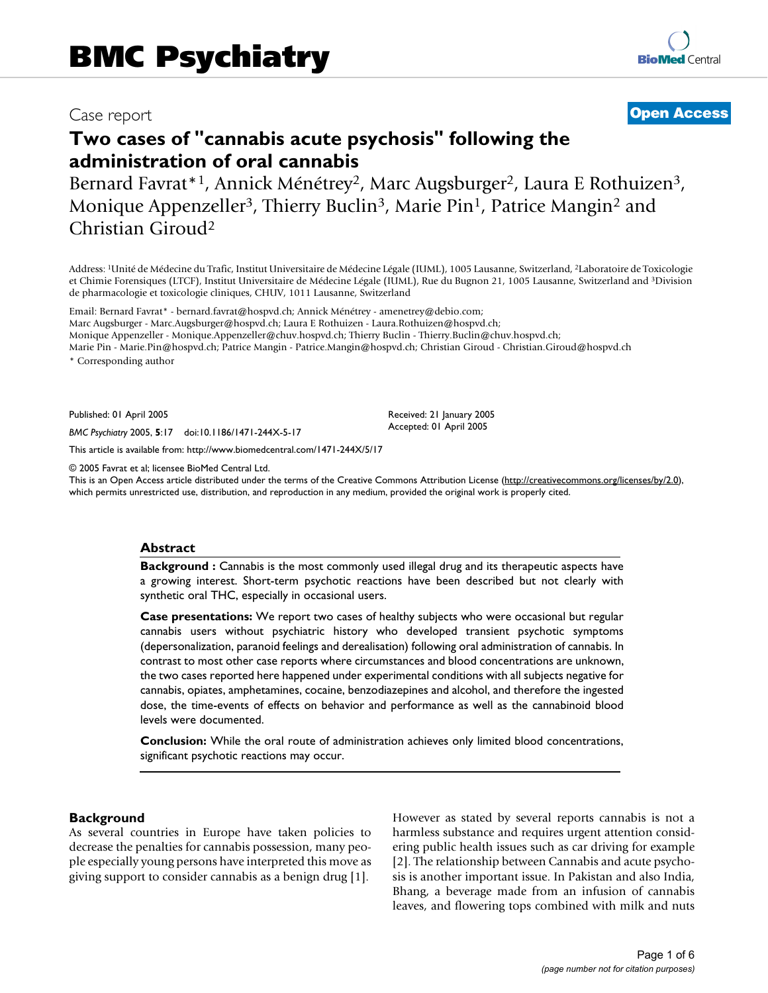# Case report **[Open Access](http://www.biomedcentral.com/info/about/charter/)**

# **Two cases of "cannabis acute psychosis" following the administration of oral cannabis**

Bernard Favrat\*<sup>1</sup>, Annick Ménétrey<sup>2</sup>, Marc Augsburger<sup>2</sup>, Laura E Rothuizen<sup>3</sup>, Monique Appenzeller<sup>3</sup>, Thierry Buclin<sup>3</sup>, Marie Pin<sup>1</sup>, Patrice Mangin<sup>2</sup> and Christian Giroud2

Address: 1Unité de Médecine du Trafic, Institut Universitaire de Médecine Légale (IUML), 1005 Lausanne, Switzerland, 2Laboratoire de Toxicologie et Chimie Forensiques (LTCF), Institut Universitaire de Médecine Légale (IUML), Rue du Bugnon 21, 1005 Lausanne, Switzerland and 3Division de pharmacologie et toxicologie cliniques, CHUV, 1011 Lausanne, Switzerland

Email: Bernard Favrat\* - bernard.favrat@hospvd.ch; Annick Ménétrey - amenetrey@debio.com; Marc Augsburger - Marc.Augsburger@hospvd.ch; Laura E Rothuizen - Laura.Rothuizen@hospvd.ch; Monique Appenzeller - Monique.Appenzeller@chuv.hospvd.ch; Thierry Buclin - Thierry.Buclin@chuv.hospvd.ch; Marie Pin - Marie.Pin@hospvd.ch; Patrice Mangin - Patrice.Mangin@hospvd.ch; Christian Giroud - Christian.Giroud@hospvd.ch

\* Corresponding author

Published: 01 April 2005

*BMC Psychiatry* 2005, **5**:17 doi:10.1186/1471-244X-5-17

[This article is available from: http://www.biomedcentral.com/1471-244X/5/17](http://www.biomedcentral.com/1471-244X/5/17)

© 2005 Favrat et al; licensee BioMed Central Ltd.

This is an Open Access article distributed under the terms of the Creative Commons Attribution License [\(http://creativecommons.org/licenses/by/2.0\)](http://creativecommons.org/licenses/by/2.0), which permits unrestricted use, distribution, and reproduction in any medium, provided the original work is properly cited.

Received: 21 January 2005 Accepted: 01 April 2005

#### **Abstract**

**Background :** Cannabis is the most commonly used illegal drug and its therapeutic aspects have a growing interest. Short-term psychotic reactions have been described but not clearly with synthetic oral THC, especially in occasional users.

**Case presentations:** We report two cases of healthy subjects who were occasional but regular cannabis users without psychiatric history who developed transient psychotic symptoms (depersonalization, paranoid feelings and derealisation) following oral administration of cannabis. In contrast to most other case reports where circumstances and blood concentrations are unknown, the two cases reported here happened under experimental conditions with all subjects negative for cannabis, opiates, amphetamines, cocaine, benzodiazepines and alcohol, and therefore the ingested dose, the time-events of effects on behavior and performance as well as the cannabinoid blood levels were documented.

**Conclusion:** While the oral route of administration achieves only limited blood concentrations, significant psychotic reactions may occur.

#### **Background**

As several countries in Europe have taken policies to decrease the penalties for cannabis possession, many people especially young persons have interpreted this move as giving support to consider cannabis as a benign drug [1].

However as stated by several reports cannabis is not a harmless substance and requires urgent attention considering public health issues such as car driving for example [2]. The relationship between Cannabis and acute psychosis is another important issue. In Pakistan and also India, Bhang, a beverage made from an infusion of cannabis leaves, and flowering tops combined with milk and nuts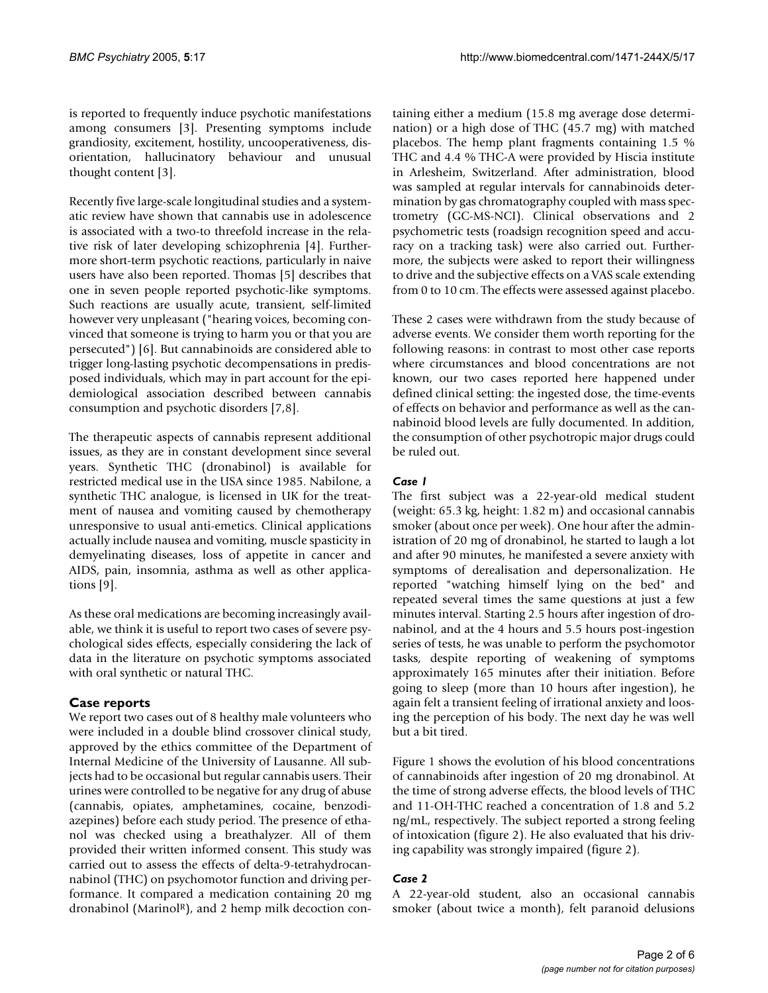is reported to frequently induce psychotic manifestations among consumers [3]. Presenting symptoms include grandiosity, excitement, hostility, uncooperativeness, disorientation, hallucinatory behaviour and unusual thought content [3].

Recently five large-scale longitudinal studies and a systematic review have shown that cannabis use in adolescence is associated with a two-to threefold increase in the relative risk of later developing schizophrenia [4]. Furthermore short-term psychotic reactions, particularly in naive users have also been reported. Thomas [5] describes that one in seven people reported psychotic-like symptoms. Such reactions are usually acute, transient, self-limited however very unpleasant ("hearing voices, becoming convinced that someone is trying to harm you or that you are persecuted") [6]. But cannabinoids are considered able to trigger long-lasting psychotic decompensations in predisposed individuals, which may in part account for the epidemiological association described between cannabis consumption and psychotic disorders [7,8].

The therapeutic aspects of cannabis represent additional issues, as they are in constant development since several years. Synthetic THC (dronabinol) is available for restricted medical use in the USA since 1985. Nabilone, a synthetic THC analogue, is licensed in UK for the treatment of nausea and vomiting caused by chemotherapy unresponsive to usual anti-emetics. Clinical applications actually include nausea and vomiting, muscle spasticity in demyelinating diseases, loss of appetite in cancer and AIDS, pain, insomnia, asthma as well as other applications [9].

As these oral medications are becoming increasingly available, we think it is useful to report two cases of severe psychological sides effects, especially considering the lack of data in the literature on psychotic symptoms associated with oral synthetic or natural THC.

# **Case reports**

We report two cases out of 8 healthy male volunteers who were included in a double blind crossover clinical study, approved by the ethics committee of the Department of Internal Medicine of the University of Lausanne. All subjects had to be occasional but regular cannabis users. Their urines were controlled to be negative for any drug of abuse (cannabis, opiates, amphetamines, cocaine, benzodiazepines) before each study period. The presence of ethanol was checked using a breathalyzer. All of them provided their written informed consent. This study was carried out to assess the effects of delta-9-tetrahydrocannabinol (THC) on psychomotor function and driving performance. It compared a medication containing 20 mg dronabinol (MarinolR), and 2 hemp milk decoction containing either a medium (15.8 mg average dose determination) or a high dose of THC (45.7 mg) with matched placebos. The hemp plant fragments containing 1.5 % THC and 4.4 % THC-A were provided by Hiscia institute in Arlesheim, Switzerland. After administration, blood was sampled at regular intervals for cannabinoids determination by gas chromatography coupled with mass spectrometry (GC-MS-NCI). Clinical observations and 2 psychometric tests (roadsign recognition speed and accuracy on a tracking task) were also carried out. Furthermore, the subjects were asked to report their willingness to drive and the subjective effects on a VAS scale extending from 0 to 10 cm. The effects were assessed against placebo.

These 2 cases were withdrawn from the study because of adverse events. We consider them worth reporting for the following reasons: in contrast to most other case reports where circumstances and blood concentrations are not known, our two cases reported here happened under defined clinical setting: the ingested dose, the time-events of effects on behavior and performance as well as the cannabinoid blood levels are fully documented. In addition, the consumption of other psychotropic major drugs could be ruled out.

## *Case 1*

The first subject was a 22-year-old medical student (weight: 65.3 kg, height: 1.82 m) and occasional cannabis smoker (about once per week). One hour after the administration of 20 mg of dronabinol, he started to laugh a lot and after 90 minutes, he manifested a severe anxiety with symptoms of derealisation and depersonalization. He reported "watching himself lying on the bed" and repeated several times the same questions at just a few minutes interval. Starting 2.5 hours after ingestion of dronabinol, and at the 4 hours and 5.5 hours post-ingestion series of tests, he was unable to perform the psychomotor tasks, despite reporting of weakening of symptoms approximately 165 minutes after their initiation. Before going to sleep (more than 10 hours after ingestion), he again felt a transient feeling of irrational anxiety and loosing the perception of his body. The next day he was well but a bit tired.

Figure [1](#page-2-0) shows the evolution of his blood concentrations of cannabinoids after ingestion of 20 mg dronabinol. At the time of strong adverse effects, the blood levels of THC and 11-OH-THC reached a concentration of 1.8 and 5.2 ng/mL, respectively. The subject reported a strong feeling of intoxication (figure [2\)](#page-3-0). He also evaluated that his driving capability was strongly impaired (figure [2\)](#page-3-0).

## *Case 2*

A 22-year-old student, also an occasional cannabis smoker (about twice a month), felt paranoid delusions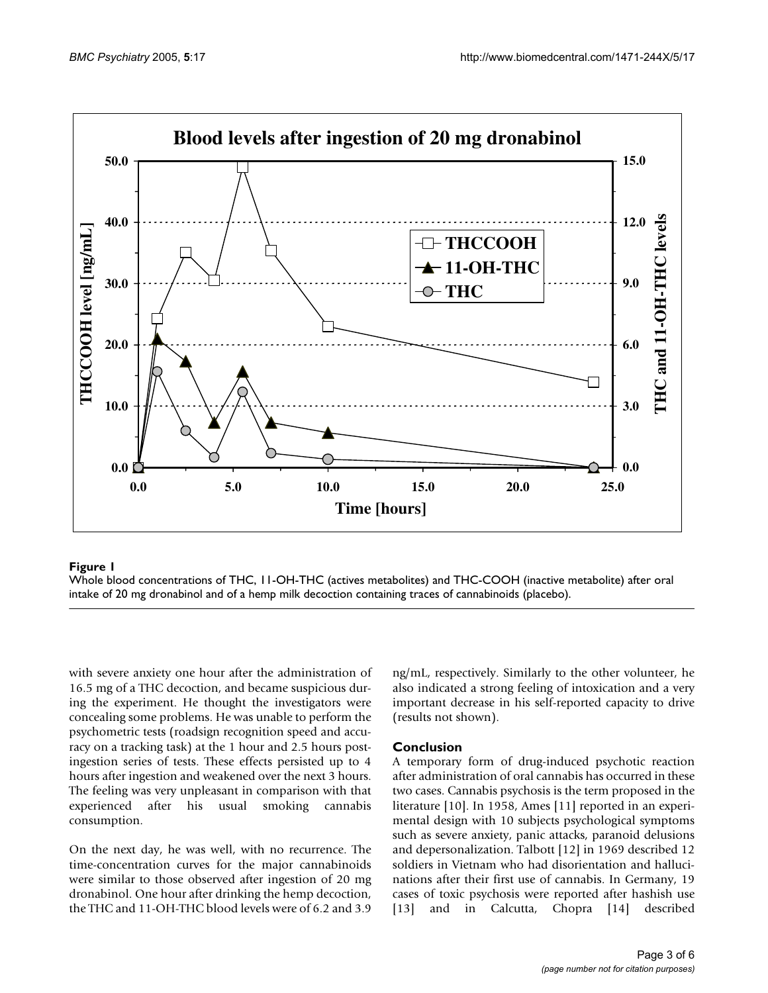<span id="page-2-0"></span>

## **Figure 1** Whole blood concentrations of THC, 11 intake of 20 mg dronabinol and of a hemp milk deco -OH-THC (actives metabolite ction containing traces of cannabinoids (placebo) s) and THC-COOH (inactive metabolite) after oral

Whole blood concentrations of THC, 11-OH-THC (actives metabolites) and THC-COOH (inactive metabolite) after oral intake of 20 mg dronabinol and of a hemp milk decoction containing traces of cannabinoids (placebo).

with severe anxiety one hour after the administration of 16.5 mg of a THC decoction, and became suspicious during the experiment. He thought the investigators were concealing some problems. He was unable to perform the psychometric tests (roadsign recognition speed and accuracy on a tracking task) at the 1 hour and 2.5 hours postingestion series of tests. These effects persisted up to 4 hours after ingestion and weakened over the next 3 hours. The feeling was very unpleasant in comparison with that experienced after his usual smoking cannabis consumption.

On the next day, he was well, with no recurrence. The time-concentration curves for the major cannabinoids were similar to those observed after ingestion of 20 mg dronabinol. One hour after drinking the hemp decoction, the THC and 11-OH-THC blood levels were of 6.2 and 3.9 ng/mL, respectively. Similarly to the other volunteer, he also indicated a strong feeling of intoxication and a very important decrease in his self-reported capacity to drive (results not shown).

## **Conclusion**

A temporary form of drug-induced psychotic reaction after administration of oral cannabis has occurred in these two cases. Cannabis psychosis is the term proposed in the literature [10]. In 1958, Ames [11] reported in an experimental design with 10 subjects psychological symptoms such as severe anxiety, panic attacks, paranoid delusions and depersonalization. Talbott [12] in 1969 described 12 soldiers in Vietnam who had disorientation and hallucinations after their first use of cannabis. In Germany, 19 cases of toxic psychosis were reported after hashish use [13] and in Calcutta, Chopra [14] described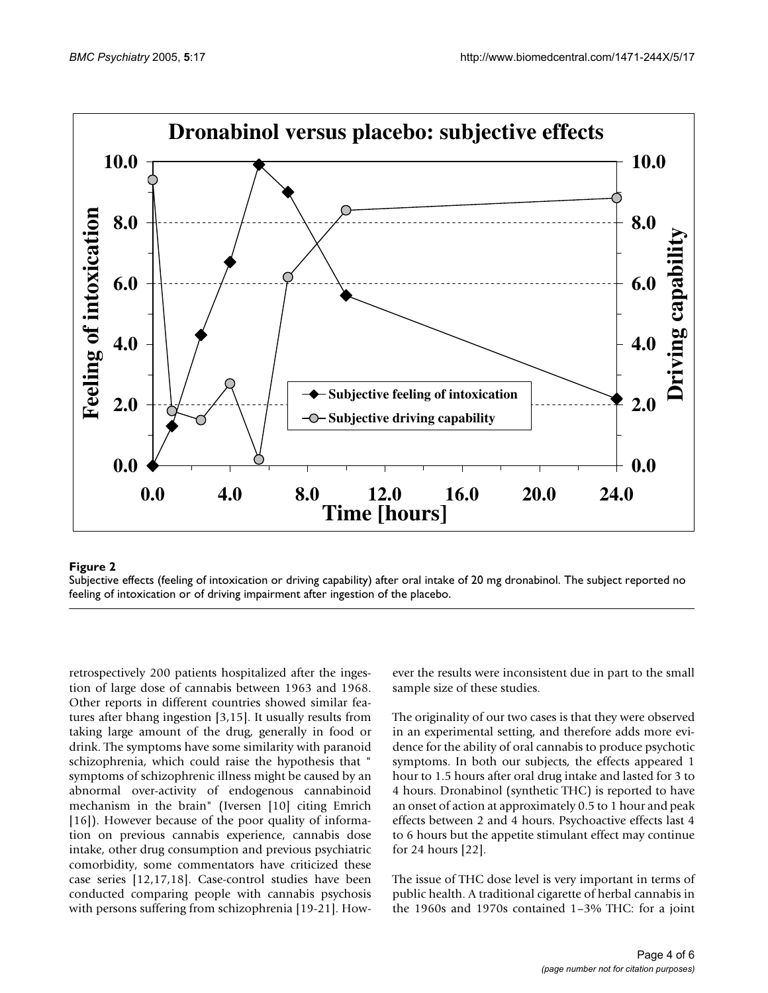<span id="page-3-0"></span>

#### **Figure 2** Subjective effects (feeling of intervals) after or driving capability  $\alpha$

Subjective effects (feeling of intoxication or driving capability) after oral intake of 20 mg dronabinol. The subject reported no feeling of intoxication or of driving impairment after ingestion of the placebo.

retrospectively 200 patients hospitalized after the ingestion of large dose of cannabis between 1963 and 1968. Other reports in different countries showed similar features after bhang ingestion [3,15]. It usually results from taking large amount of the drug, generally in food or drink. The symptoms have some similarity with paranoid schizophrenia, which could raise the hypothesis that " symptoms of schizophrenic illness might be caused by an abnormal over-activity of endogenous cannabinoid mechanism in the brain" (Iversen [10] citing Emrich [16]). However because of the poor quality of information on previous cannabis experience, cannabis dose intake, other drug consumption and previous psychiatric comorbidity, some commentators have criticized these case series [12,17,18]. Case-control studies have been conducted comparing people with cannabis psychosis with persons suffering from schizophrenia [19-21]. However the results were inconsistent due in part to the small sample size of these studies.

The originality of our two cases is that they were observed in an experimental setting, and therefore adds more evidence for the ability of oral cannabis to produce psychotic symptoms. In both our subjects, the effects appeared 1 hour to 1.5 hours after oral drug intake and lasted for 3 to 4 hours. Dronabinol (synthetic THC) is reported to have an onset of action at approximately 0.5 to 1 hour and peak effects between 2 and 4 hours. Psychoactive effects last 4 to 6 hours but the appetite stimulant effect may continue for 24 hours [22].

The issue of THC dose level is very important in terms of public health. A traditional cigarette of herbal cannabis in the 1960s and 1970s contained 1–3% THC: for a joint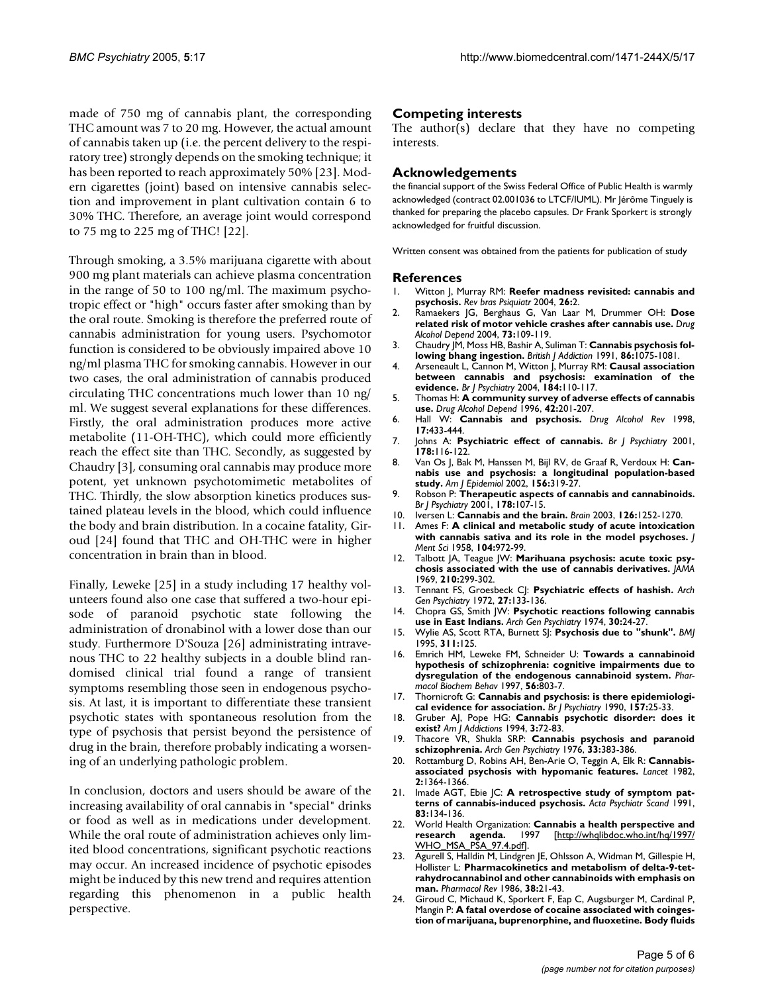made of 750 mg of cannabis plant, the corresponding THC amount was 7 to 20 mg. However, the actual amount of cannabis taken up (i.e. the percent delivery to the respiratory tree) strongly depends on the smoking technique; it has been reported to reach approximately 50% [23]. Modern cigarettes (joint) based on intensive cannabis selection and improvement in plant cultivation contain 6 to 30% THC. Therefore, an average joint would correspond to 75 mg to 225 mg of THC! [22].

Through smoking, a 3.5% marijuana cigarette with about 900 mg plant materials can achieve plasma concentration in the range of 50 to 100 ng/ml. The maximum psychotropic effect or "high" occurs faster after smoking than by the oral route. Smoking is therefore the preferred route of cannabis administration for young users. Psychomotor function is considered to be obviously impaired above 10 ng/ml plasma THC for smoking cannabis. However in our two cases, the oral administration of cannabis produced circulating THC concentrations much lower than 10 ng/ ml. We suggest several explanations for these differences. Firstly, the oral administration produces more active metabolite (11-OH-THC), which could more efficiently reach the effect site than THC. Secondly, as suggested by Chaudry [3], consuming oral cannabis may produce more potent, yet unknown psychotomimetic metabolites of THC. Thirdly, the slow absorption kinetics produces sustained plateau levels in the blood, which could influence the body and brain distribution. In a cocaine fatality, Giroud [24] found that THC and OH-THC were in higher concentration in brain than in blood.

Finally, Leweke [25] in a study including 17 healthy volunteers found also one case that suffered a two-hour episode of paranoid psychotic state following the administration of dronabinol with a lower dose than our study. Furthermore D'Souza [26] administrating intravenous THC to 22 healthy subjects in a double blind randomised clinical trial found a range of transient symptoms resembling those seen in endogenous psychosis. At last, it is important to differentiate these transient psychotic states with spontaneous resolution from the type of psychosis that persist beyond the persistence of drug in the brain, therefore probably indicating a worsening of an underlying pathologic problem.

In conclusion, doctors and users should be aware of the increasing availability of oral cannabis in "special" drinks or food as well as in medications under development. While the oral route of administration achieves only limited blood concentrations, significant psychotic reactions may occur. An increased incidence of psychotic episodes might be induced by this new trend and requires attention regarding this phenomenon in a public health perspective.

#### **Competing interests**

The author(s) declare that they have no competing interests.

#### **Acknowledgements**

the financial support of the Swiss Federal Office of Public Health is warmly acknowledged (contract 02.001036 to LTCF/IUML). Mr Jérôme Tinguely is thanked for preparing the placebo capsules. Dr Frank Sporkert is strongly acknowledged for fruitful discussion.

Written consent was obtained from the patients for publication of study

#### **References**

- 1. Witton J, Murray RM: **[Reefer madness revisited: cannabis and](http://www.ncbi.nlm.nih.gov/entrez/query.fcgi?cmd=Retrieve&db=PubMed&dopt=Abstract&list_uids=15057830) [psychosis.](http://www.ncbi.nlm.nih.gov/entrez/query.fcgi?cmd=Retrieve&db=PubMed&dopt=Abstract&list_uids=15057830)** *Rev bras Psiquiatr* 2004, **26:**2.
- 2. Ramaekers JG, Berghaus G, Van Laar M, Drummer OH: **[Dose](http://www.ncbi.nlm.nih.gov/entrez/query.fcgi?cmd=Retrieve&db=PubMed&dopt=Abstract&list_uids=14725950) [related risk of motor vehicle crashes after cannabis use.](http://www.ncbi.nlm.nih.gov/entrez/query.fcgi?cmd=Retrieve&db=PubMed&dopt=Abstract&list_uids=14725950)** *Drug Alcohol Depend* 2004, **73:**109-119.
- 3. Chaudry JM, Moss HB, Bashir A, Suliman T: **Cannabis psychosis following bhang ingestion.** *British J Addiction* 1991, **86:**1075-1081.
- 4. Arseneault L, Cannon M, Witton J, Murray RM: **[Causal association](http://www.ncbi.nlm.nih.gov/entrez/query.fcgi?cmd=Retrieve&db=PubMed&dopt=Abstract&list_uids=14754822) [between cannabis and psychosis: examination of the](http://www.ncbi.nlm.nih.gov/entrez/query.fcgi?cmd=Retrieve&db=PubMed&dopt=Abstract&list_uids=14754822) [evidence.](http://www.ncbi.nlm.nih.gov/entrez/query.fcgi?cmd=Retrieve&db=PubMed&dopt=Abstract&list_uids=14754822)** *Br J Psychiatry* 2004, **184:**110-117.
- 5. Thomas H: **[A community survey of adverse effects of cannabis](http://www.ncbi.nlm.nih.gov/entrez/query.fcgi?cmd=Retrieve&db=PubMed&dopt=Abstract&list_uids=8912803) [use.](http://www.ncbi.nlm.nih.gov/entrez/query.fcgi?cmd=Retrieve&db=PubMed&dopt=Abstract&list_uids=8912803)** *Drug Alcohol Depend* 1996, **42:**201-207.
- 6. Hall W: **Cannabis and psychosis.** *Drug Alcohol Rev* 1998, **17:**433-444.
- 7. Johns A: **[Psychiatric effect of cannabis.](http://www.ncbi.nlm.nih.gov/entrez/query.fcgi?cmd=Retrieve&db=PubMed&dopt=Abstract&list_uids=11157424)** *Br J Psychiatry* 2001, **178:**116-122.
- 8. Van Os J, Bak M, Hanssen M, Bijl RV, de Graaf R, Verdoux H: **[Can](http://www.ncbi.nlm.nih.gov/entrez/query.fcgi?cmd=Retrieve&db=PubMed&dopt=Abstract&list_uids=12181101)[nabis use and psychosis: a longitudinal population-based](http://www.ncbi.nlm.nih.gov/entrez/query.fcgi?cmd=Retrieve&db=PubMed&dopt=Abstract&list_uids=12181101) [study.](http://www.ncbi.nlm.nih.gov/entrez/query.fcgi?cmd=Retrieve&db=PubMed&dopt=Abstract&list_uids=12181101)** *Am J Epidemiol* 2002, **156:**319-27.
- 9. Robson P: **[Therapeutic aspects of cannabis and cannabinoids.](http://www.ncbi.nlm.nih.gov/entrez/query.fcgi?cmd=Retrieve&db=PubMed&dopt=Abstract&list_uids=11157423)** *Br J Psychiatry* 2001, **178:**107-15.
- 10. Iversen L: **[Cannabis and the brain.](http://www.ncbi.nlm.nih.gov/entrez/query.fcgi?cmd=Retrieve&db=PubMed&dopt=Abstract&list_uids=12764049)** *Brain* 2003, **126:**1252-1270.
- Ames F: [A clinical and metabolic study of acute intoxication](http://www.ncbi.nlm.nih.gov/entrez/query.fcgi?cmd=Retrieve&db=PubMed&dopt=Abstract&list_uids=13621144) **[with cannabis sativa and its role in the model psychoses.](http://www.ncbi.nlm.nih.gov/entrez/query.fcgi?cmd=Retrieve&db=PubMed&dopt=Abstract&list_uids=13621144)** *J Ment Sci* 1958, **104:**972-99.
- 12. Talbott JA, Teague JW: **[Marihuana psychosis: acute toxic psy](http://www.ncbi.nlm.nih.gov/entrez/query.fcgi?cmd=Retrieve&db=PubMed&dopt=Abstract&list_uids=5394365)[chosis associated with the use of cannabis derivatives.](http://www.ncbi.nlm.nih.gov/entrez/query.fcgi?cmd=Retrieve&db=PubMed&dopt=Abstract&list_uids=5394365)** *JAMA* 1969, **210:**299-302.
- 13. Tennant FS, Groesbeck CJ: **[Psychiatric effects of hashish.](http://www.ncbi.nlm.nih.gov/entrez/query.fcgi?cmd=Retrieve&db=PubMed&dopt=Abstract&list_uids=5032722)** *Arch Gen Psychiatry* 1972, **27:**133-136.
- 14. Chopra GS, Smith JW: **[Psychotic reactions following cannabis](http://www.ncbi.nlm.nih.gov/entrez/query.fcgi?cmd=Retrieve&db=PubMed&dopt=Abstract&list_uids=4808733) [use in East Indians.](http://www.ncbi.nlm.nih.gov/entrez/query.fcgi?cmd=Retrieve&db=PubMed&dopt=Abstract&list_uids=4808733)** *Arch Gen Psychiatry* 1974, **30:**24-27.
- 15. Wylie AS, Scott RTA, Burnett SJ: **[Psychosis due to "shunk".](http://www.ncbi.nlm.nih.gov/entrez/query.fcgi?cmd=Retrieve&db=PubMed&dopt=Abstract&list_uids=7613377)** *BMJ* 1995, **311:**125.
- 16. Emrich HM, Leweke FM, Schneider U: **[Towards a cannabinoid](http://www.ncbi.nlm.nih.gov/entrez/query.fcgi?cmd=Retrieve&db=PubMed&dopt=Abstract&list_uids=9130308) [hypothesis of schizophrenia: cognitive impairments due to](http://www.ncbi.nlm.nih.gov/entrez/query.fcgi?cmd=Retrieve&db=PubMed&dopt=Abstract&list_uids=9130308) [dysregulation of the endogenous cannabinoid system.](http://www.ncbi.nlm.nih.gov/entrez/query.fcgi?cmd=Retrieve&db=PubMed&dopt=Abstract&list_uids=9130308)** *Pharmacol Biochem Behav* 1997, **56:**803-7.
- 17. Thornicroft G: **[Cannabis and psychosis: is there epidemiologi](http://www.ncbi.nlm.nih.gov/entrez/query.fcgi?cmd=Retrieve&db=PubMed&dopt=Abstract&list_uids=2204462)[cal evidence for association.](http://www.ncbi.nlm.nih.gov/entrez/query.fcgi?cmd=Retrieve&db=PubMed&dopt=Abstract&list_uids=2204462)** *Br J Psychiatry* 1990, **157:**25-33.
- 18. Gruber AJ, Pope HG: **Cannabis psychotic disorder: does it exist?** *Am J Addictions* 1994, **3:**72-83.
- 19. Thacore VR, Shukla SRP: **[Cannabis psychosis and paranoid](http://www.ncbi.nlm.nih.gov/entrez/query.fcgi?cmd=Retrieve&db=PubMed&dopt=Abstract&list_uids=1259526) [schizophrenia.](http://www.ncbi.nlm.nih.gov/entrez/query.fcgi?cmd=Retrieve&db=PubMed&dopt=Abstract&list_uids=1259526)** *Arch Gen Psychiatry* 1976, **33:**383-386.
- 20. Rottamburg D, Robins AH, Ben-Arie O, Teggin A, Elk R: **[Cannabis](http://www.ncbi.nlm.nih.gov/entrez/query.fcgi?cmd=Retrieve&db=PubMed&dopt=Abstract&list_uids=6129463)[associated psychosis with hypomanic features.](http://www.ncbi.nlm.nih.gov/entrez/query.fcgi?cmd=Retrieve&db=PubMed&dopt=Abstract&list_uids=6129463)** *Lancet* 1982, **2:**1364-1366.
- 21. Imade AGT, Ebie JC: **[A retrospective study of symptom pat](http://www.ncbi.nlm.nih.gov/entrez/query.fcgi?cmd=Retrieve&db=PubMed&dopt=Abstract&list_uids=2017910)[terns of cannabis-induced psychosis.](http://www.ncbi.nlm.nih.gov/entrez/query.fcgi?cmd=Retrieve&db=PubMed&dopt=Abstract&list_uids=2017910)** *Acta Psychiatr Scand* 1991, **83:**134-136.
- 22. World Health Organization: **Cannabis a health perspective and research agenda.** 1997 [\[http://whqlibdoc.who.int/hq/1997/](http://whqlibdoc.who.int/hq/1997/WHO_MSA_PSA_97.4.pdf) [WHO\\_MSA\\_PSA\\_97.4.pdf\]](http://whqlibdoc.who.int/hq/1997/WHO_MSA_PSA_97.4.pdf).
- 23. Agurell S, Halldin M, Lindgren JE, Ohlsson A, Widman M, Gillespie H, Hollister L: **[Pharmacokinetics and metabolism of delta-9-tet](http://www.ncbi.nlm.nih.gov/entrez/query.fcgi?cmd=Retrieve&db=PubMed&dopt=Abstract&list_uids=3012605)[rahydrocannabinol and other cannabinoids with emphasis on](http://www.ncbi.nlm.nih.gov/entrez/query.fcgi?cmd=Retrieve&db=PubMed&dopt=Abstract&list_uids=3012605) [man.](http://www.ncbi.nlm.nih.gov/entrez/query.fcgi?cmd=Retrieve&db=PubMed&dopt=Abstract&list_uids=3012605)** *Pharmacol Rev* 1986, **38:**21-43.
- 24. Giroud C, Michaud K, Sporkert F, Eap C, Augsburger M, Cardinal P, Mangin P: **[A fatal overdose of cocaine associated with coinges](http://www.ncbi.nlm.nih.gov/entrez/query.fcgi?cmd=Retrieve&db=PubMed&dopt=Abstract&list_uids=15516297)[tion of marijuana, buprenorphine, and fluoxetine. Body fluids](http://www.ncbi.nlm.nih.gov/entrez/query.fcgi?cmd=Retrieve&db=PubMed&dopt=Abstract&list_uids=15516297)**